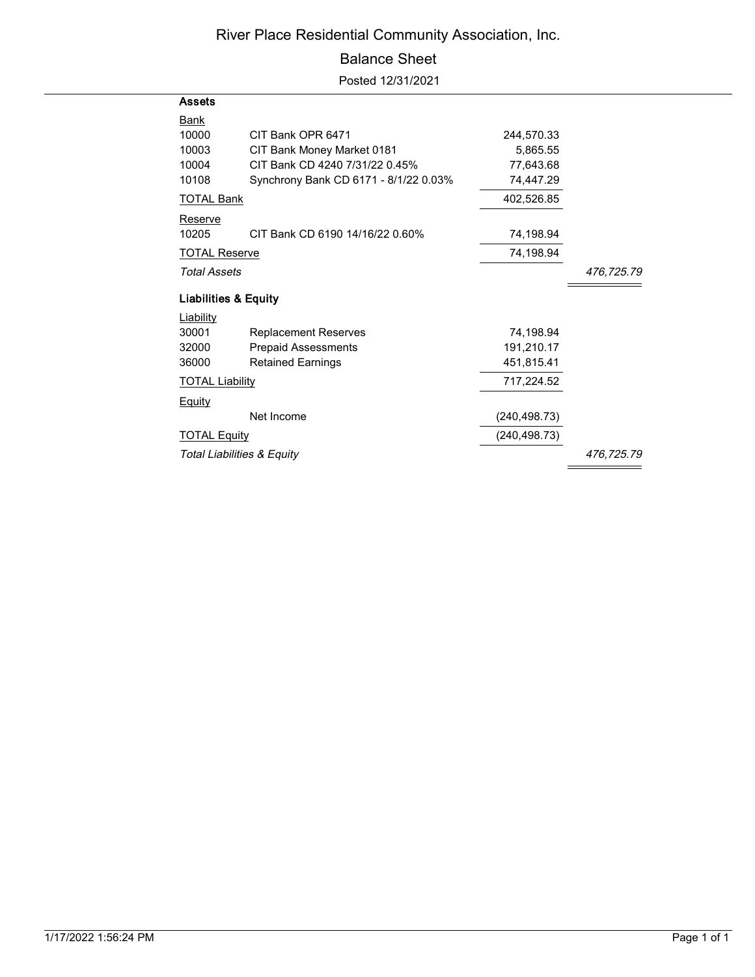### River Place Residential Community Association, Inc.

#### Balance Sheet

Posted 12/31/2021

| Assets                          |                                       |               |            |
|---------------------------------|---------------------------------------|---------------|------------|
| <u>Bank</u><br>10000            | CIT Bank OPR 6471                     | 244,570.33    |            |
| 10003                           | CIT Bank Money Market 0181            | 5,865.55      |            |
| 10004                           | CIT Bank CD 4240 7/31/22 0.45%        | 77,643.68     |            |
| 10108                           | Synchrony Bank CD 6171 - 8/1/22 0.03% | 74,447.29     |            |
| <u>TOTAL Bank</u>               |                                       | 402,526.85    |            |
| Reserve                         |                                       |               |            |
| 10205                           | CIT Bank CD 6190 14/16/22 0.60%       | 74,198.94     |            |
| <b>TOTAL Reserve</b>            |                                       | 74,198.94     |            |
| <b>Total Assets</b>             |                                       |               | 476,725.79 |
| <b>Liabilities &amp; Equity</b> |                                       |               |            |
| Liability                       |                                       |               |            |
| 30001                           | <b>Replacement Reserves</b>           | 74.198.94     |            |
| 32000                           | <b>Prepaid Assessments</b>            | 191,210.17    |            |
| 36000                           | <b>Retained Earnings</b>              | 451,815.41    |            |
| <b>TOTAL Liability</b>          |                                       | 717,224.52    |            |
| <b>Equity</b>                   |                                       |               |            |
|                                 | Net Income                            | (240, 498.73) |            |
| <b>TOTAL Equity</b>             |                                       | (240,498.73)  |            |
| Total Liabilities & Equity      |                                       |               | 476,725.79 |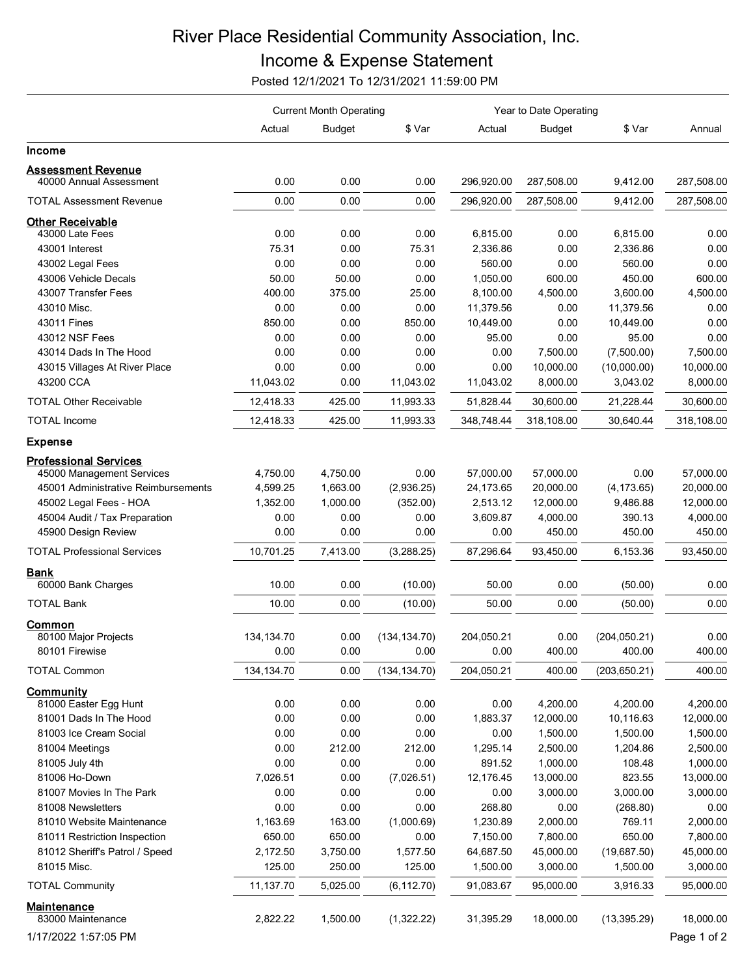# River Place Residential Community Association, Inc.

## Income & Expense Statement

Posted 12/1/2021 To 12/31/2021 11:59:00 PM

|                                                      | <b>Current Month Operating</b> |               |               | Year to Date Operating |                       |                       |                      |
|------------------------------------------------------|--------------------------------|---------------|---------------|------------------------|-----------------------|-----------------------|----------------------|
|                                                      | Actual                         | <b>Budget</b> | \$ Var        | Actual                 | <b>Budget</b>         | \$ Var                | Annual               |
| <b>Income</b>                                        |                                |               |               |                        |                       |                       |                      |
| <b>Assessment Revenue</b><br>40000 Annual Assessment | 0.00                           | 0.00          | 0.00          | 296,920.00             | 287,508.00            | 9,412.00              | 287,508.00           |
| <b>TOTAL Assessment Revenue</b>                      | 0.00                           | 0.00          | 0.00          | 296,920.00             | 287,508.00            | 9,412.00              | 287,508.00           |
| <b>Other Receivable</b>                              |                                |               |               |                        |                       |                       |                      |
| 43000 Late Fees                                      | 0.00                           | 0.00          | 0.00          | 6,815.00               | 0.00                  | 6,815.00              | 0.00                 |
| 43001 Interest                                       | 75.31                          | 0.00          | 75.31         | 2,336.86               | 0.00                  | 2,336.86              | 0.00                 |
| 43002 Legal Fees                                     | 0.00                           | 0.00          | 0.00          | 560.00                 | 0.00                  | 560.00                | 0.00                 |
| 43006 Vehicle Decals                                 | 50.00                          | 50.00         | 0.00          | 1,050.00               | 600.00                | 450.00                | 600.00               |
| 43007 Transfer Fees                                  | 400.00                         | 375.00        | 25.00         | 8,100.00               | 4,500.00              | 3,600.00              | 4,500.00             |
| 43010 Misc.                                          | 0.00                           | 0.00          | 0.00          | 11,379.56              | 0.00                  | 11,379.56             | 0.00                 |
| 43011 Fines                                          | 850.00                         | 0.00          | 850.00        | 10,449.00              | 0.00                  | 10,449.00             | 0.00                 |
| 43012 NSF Fees                                       | 0.00                           | 0.00          | 0.00          | 95.00                  | 0.00                  | 95.00                 | 0.00                 |
| 43014 Dads In The Hood                               | 0.00                           | 0.00          | 0.00          | 0.00                   | 7,500.00              | (7,500.00)            | 7,500.00             |
| 43015 Villages At River Place                        | 0.00                           | 0.00          | 0.00          | 0.00                   | 10,000.00             | (10,000.00)           | 10,000.00            |
| 43200 CCA                                            | 11,043.02                      | 0.00          | 11,043.02     | 11,043.02              | 8,000.00              | 3,043.02              | 8,000.00             |
| <b>TOTAL Other Receivable</b>                        | 12,418.33                      | 425.00        | 11,993.33     | 51,828.44              | 30,600.00             | 21,228.44             | 30,600.00            |
| <b>TOTAL Income</b>                                  | 12,418.33                      | 425.00        | 11,993.33     | 348,748.44             | 318,108.00            | 30,640.44             | 318,108.00           |
| <b>Expense</b>                                       |                                |               |               |                        |                       |                       |                      |
| <b>Professional Services</b>                         |                                |               |               |                        |                       |                       |                      |
| 45000 Management Services                            | 4,750.00                       | 4,750.00      | 0.00          | 57,000.00              | 57,000.00             | 0.00                  | 57,000.00            |
| 45001 Administrative Reimbursements                  | 4,599.25                       | 1,663.00      | (2,936.25)    | 24,173.65              | 20,000.00             | (4, 173.65)           | 20,000.00            |
| 45002 Legal Fees - HOA                               | 1,352.00                       | 1,000.00      | (352.00)      | 2,513.12               | 12,000.00             | 9,486.88              | 12,000.00            |
| 45004 Audit / Tax Preparation                        | 0.00                           | 0.00          | 0.00          | 3,609.87               | 4,000.00              | 390.13                | 4,000.00             |
| 45900 Design Review                                  | 0.00                           | 0.00          | 0.00          | 0.00                   | 450.00                | 450.00                | 450.00               |
| <b>TOTAL Professional Services</b>                   | 10,701.25                      | 7,413.00      | (3,288.25)    | 87,296.64              | 93,450.00             | 6,153.36              | 93,450.00            |
| <b>Bank</b>                                          |                                |               |               |                        |                       |                       |                      |
| 60000 Bank Charges                                   | 10.00                          | 0.00          | (10.00)       | 50.00                  | 0.00                  | (50.00)               | 0.00                 |
| <b>TOTAL Bank</b>                                    | 10.00                          | 0.00          | (10.00)       | 50.00                  | 0.00                  | (50.00)               | 0.00                 |
| Common                                               |                                |               |               |                        |                       |                       |                      |
| 80100 Major Projects                                 | 134, 134. 70                   | 0.00          | (134, 134.70) | 204,050.21             | 0.00<br>400.00        | (204, 050.21)         | 0.00                 |
| 80101 Firewise                                       | 0.00                           | 0.00          | 0.00          | 0.00                   |                       | 400.00                | 400.00               |
| <b>TOTAL Common</b>                                  | 134, 134. 70                   | 0.00          | (134, 134.70) | 204,050.21             | 400.00                | (203, 650.21)         | 400.00               |
| <b>Community</b>                                     |                                |               |               |                        |                       |                       |                      |
| 81000 Easter Egg Hunt                                | 0.00<br>0.00                   | 0.00          | 0.00          | 0.00                   | 4,200.00              | 4,200.00              | 4,200.00             |
| 81001 Dads In The Hood<br>81003 Ice Cream Social     | 0.00                           | 0.00<br>0.00  | 0.00<br>0.00  | 1,883.37<br>0.00       | 12,000.00<br>1,500.00 | 10,116.63<br>1,500.00 | 12,000.00            |
| 81004 Meetings                                       | 0.00                           | 212.00        | 212.00        | 1,295.14               | 2,500.00              | 1,204.86              | 1,500.00             |
| 81005 July 4th                                       | 0.00                           | 0.00          | 0.00          | 891.52                 | 1,000.00              | 108.48                | 2,500.00<br>1,000.00 |
| 81006 Ho-Down                                        | 7,026.51                       | 0.00          | (7,026.51)    | 12,176.45              | 13,000.00             | 823.55                | 13,000.00            |
| 81007 Movies In The Park                             | 0.00                           | 0.00          | 0.00          | 0.00                   | 3,000.00              | 3,000.00              | 3,000.00             |
| 81008 Newsletters                                    | 0.00                           | 0.00          | 0.00          | 268.80                 | 0.00                  | (268.80)              | 0.00                 |
| 81010 Website Maintenance                            | 1,163.69                       | 163.00        | (1,000.69)    | 1,230.89               | 2,000.00              | 769.11                | 2,000.00             |
| 81011 Restriction Inspection                         | 650.00                         | 650.00        | 0.00          | 7,150.00               | 7,800.00              | 650.00                | 7,800.00             |
| 81012 Sheriff's Patrol / Speed                       | 2,172.50                       | 3,750.00      | 1,577.50      | 64,687.50              | 45,000.00             | (19,687.50)           | 45,000.00            |
| 81015 Misc.                                          | 125.00                         | 250.00        | 125.00        | 1,500.00               | 3,000.00              | 1,500.00              | 3,000.00             |
| <b>TOTAL Community</b>                               | 11,137.70                      | 5,025.00      | (6, 112.70)   | 91,083.67              | 95,000.00             | 3,916.33              | 95,000.00            |
| <u>Maintenance</u>                                   |                                |               |               |                        |                       |                       |                      |
| 83000 Maintenance                                    | 2,822.22                       | 1,500.00      | (1,322.22)    | 31,395.29              | 18,000.00             | (13, 395.29)          | 18,000.00            |
| 1/17/2022 1:57:05 PM                                 |                                |               |               |                        |                       |                       | Page 1 of 2          |